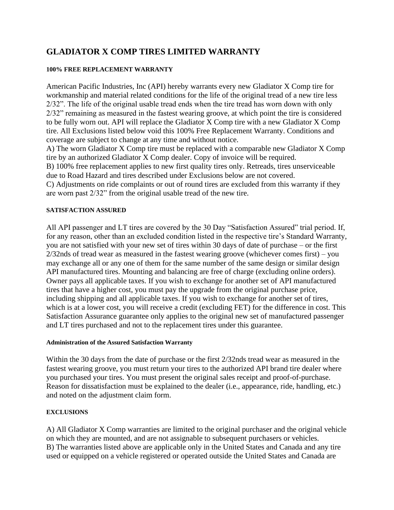# **GLADIATOR X COMP TIRES LIMITED WARRANTY**

#### **100% FREE REPLACEMENT WARRANTY**

American Pacific Industries, Inc (API) hereby warrants every new Gladiator X Comp tire for workmanship and material related conditions for the life of the original tread of a new tire less 2/32". The life of the original usable tread ends when the tire tread has worn down with only 2/32" remaining as measured in the fastest wearing groove, at which point the tire is considered to be fully worn out. API will replace the Gladiator X Comp tire with a new Gladiator X Comp tire. All Exclusions listed below void this 100% Free Replacement Warranty. Conditions and coverage are subject to change at any time and without notice.

A) The worn Gladiator X Comp tire must be replaced with a comparable new Gladiator X Comp tire by an authorized Gladiator X Comp dealer. Copy of invoice will be required.

B) 100% free replacement applies to new first quality tires only. Retreads, tires unserviceable due to Road Hazard and tires described under Exclusions below are not covered.

C) Adjustments on ride complaints or out of round tires are excluded from this warranty if they are worn past 2/32" from the original usable tread of the new tire.

#### **SATISFACTION ASSURED**

All API passenger and LT tires are covered by the 30 Day "Satisfaction Assured" trial period. If, for any reason, other than an excluded condition listed in the respective tire's Standard Warranty, you are not satisfied with your new set of tires within 30 days of date of purchase – or the first 2/32nds of tread wear as measured in the fastest wearing groove (whichever comes first) – you may exchange all or any one of them for the same number of the same design or similar design API manufactured tires. Mounting and balancing are free of charge (excluding online orders). Owner pays all applicable taxes. If you wish to exchange for another set of API manufactured tires that have a higher cost, you must pay the upgrade from the original purchase price, including shipping and all applicable taxes. If you wish to exchange for another set of tires, which is at a lower cost, you will receive a credit (excluding FET) for the difference in cost. This Satisfaction Assurance guarantee only applies to the original new set of manufactured passenger and LT tires purchased and not to the replacement tires under this guarantee.

#### **Administration of the Assured Satisfaction Warranty**

Within the 30 days from the date of purchase or the first 2/32nds tread wear as measured in the fastest wearing groove, you must return your tires to the authorized API brand tire dealer where you purchased your tires. You must present the original sales receipt and proof-of-purchase. Reason for dissatisfaction must be explained to the dealer (i.e., appearance, ride, handling, etc.) and noted on the adjustment claim form.

# **EXCLUSIONS**

A) All Gladiator X Comp warranties are limited to the original purchaser and the original vehicle on which they are mounted, and are not assignable to subsequent purchasers or vehicles. B) The warranties listed above are applicable only in the United States and Canada and any tire used or equipped on a vehicle registered or operated outside the United States and Canada are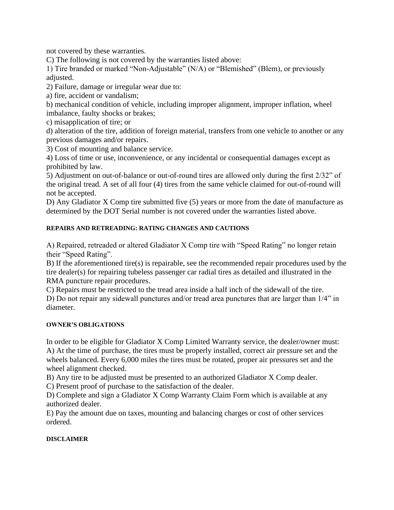not covered by these warranties.

C) The following is not covered by the warranties listed above:

1) Tire branded or marked "Non-Adjustable" (N/A) or "Blemished" (Blem), or previously adjusted.

2) Failure, damage or irregular wear due to:

a) fire, accident or vandalism;

b) mechanical condition of vehicle, including improper alignment, improper inflation, wheel imbalance, faulty shocks or brakes;

c) misapplication of tire; or

d) alteration of the tire, addition of foreign material, transfers from one vehicle to another or any previous damages and/or repairs.

3) Cost of mounting and balance service.

4) Loss of time or use, inconvenience, or any incidental or consequential damages except as prohibited by law.

5) Adjustment on out-of-balance or out-of-round tires are allowed only during the first 2/32" of the original tread. A set of all four (4) tires from the same vehicle claimed for out-of-round will not be accepted.

D) Any Gladiator X Comp tire submitted five (5) years or more from the date of manufacture as determined by the DOT Serial number is not covered under the warranties listed above.

# **REPAIRS AND RETREADING: RATING CHANGES AND CAUTIONS**

A) Repaired, retreaded or altered Gladiator X Comp tire with "Speed Rating" no longer retain their "Speed Rating".

B) If the aforementioned tire(s) is repairable, see the recommended repair procedures used by the tire dealer(s) for repairing tubeless passenger car radial tires as detailed and illustrated in the RMA puncture repair procedures.

C) Repairs must be restricted to the tread area inside a half inch of the sidewall of the tire.

D) Do not repair any sidewall punctures and/or tread area punctures that are larger than 1/4" in diameter.

# **OWNER'S OBLIGATIONS**

In order to be eligible for Gladiator X Comp Limited Warranty service, the dealer/owner must: A) At the time of purchase, the tires must be properly installed, correct air pressure set and the wheels balanced. Every 6,000 miles the tires must be rotated, proper air pressures set and the wheel alignment checked.

B) Any tire to be adjusted must be presented to an authorized Gladiator X Comp dealer.

C) Present proof of purchase to the satisfaction of the dealer.

D) Complete and sign a Gladiator X Comp Warranty Claim Form which is available at any authorized dealer.

E) Pay the amount due on taxes, mounting and balancing charges or cost of other services ordered.

# **DISCLAIMER**